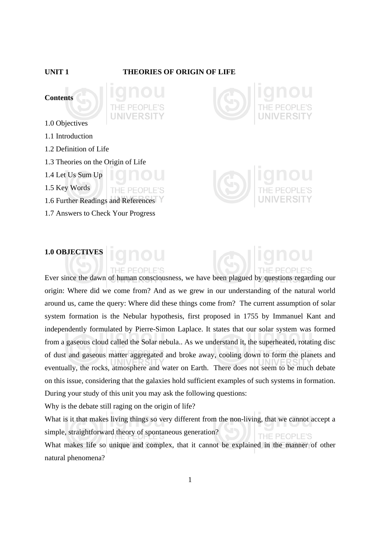### **UNIT 1 THEORIES OF ORIGIN OF LIFE**





THE PEOPI

1.0 Objectives

- 1.1 Introduction
- 1.2 Definition of Life
- 1.3 Theories on the Origin of Life
- 1.4 Let Us Sum Up
- 1.5 Key Words
- 1.6 Further Readings and References
- 1.7 Answers to Check Your Progress



# **1.0 OBJECTIVES**

THE PEOPLE'S Ever since the dawn of human consciousness, we have been plagued by questions regarding our origin: Where did we come from? And as we grew in our understanding of the natural world around us, came the query: Where did these things come from? The current assumption of solar system formation is the Nebular hypothesis, first proposed in 1755 by Immanuel Kant and independently formulated by Pierre-Simon Laplace. It states that our solar system was formed from a gaseous cloud called the Solar nebula.. As we understand it, the superheated, rotating disc of dust and gaseous matter aggregated and broke away, cooling down to form the planets and eventually, the rocks, atmosphere and water on Earth. There does not seem to be much debate on this issue, considering that the galaxies hold sufficient examples of such systems in formation. During your study of this unit you may ask the following questions:

Why is the debate still raging on the origin of life?

What is it that makes living things so very different from the non-living, that we cannot accept a simple, straightforward theory of spontaneous generation? THE PEOPLE'S

What makes life so unique and complex, that it cannot be explained in the manner of other natural phenomena?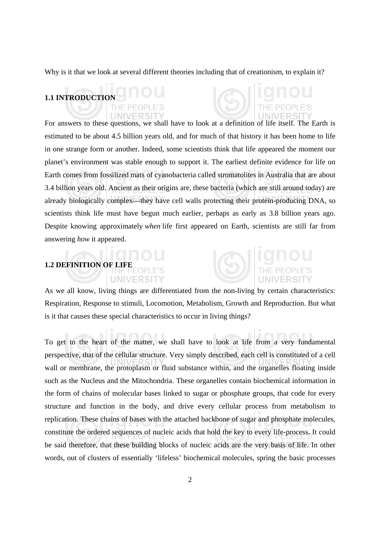Why is it that we look at several different theories including that of creationism, to explain it?

### **1.1 INTRODUCTION**

For answers to these questions, we shall have to look at a definition of life itself. The Earth is estimated to be about 4.5 billion years old, and for much of that history it has been home to life in one strange form or another. Indeed, some scientists think that life appeared the moment our planet's environment was stable enough to support it. The earliest definite evidence for life on Earth comes from fossilized mats of cyanobacteria called stromatolites in Australia that are about 3.4 billion years old. Ancient as their origins are, these bacteria (which are still around today) are already biologically complex—they have cell walls protecting their protein-producing DNA, so scientists think life must have begun much earlier, perhaps as early as 3.8 billion years ago. Despite knowing approximately *when* life first appeared on Earth, scientists are still far from answering *how* it appeared.

## **1.2 DEFINITION OF LIFE**

**UNIVERSI** 



As we all know, living things are differentiated from the non-living by certain characteristics: Respiration, Response to stimuli, Locomotion, Metabolism, Growth and Reproduction. But what is it that causes these special characteristics to occur in living things?

To get to the heart of the matter, we shall have to look at life from a very fundamental perspective, that of the cellular structure. Very simply described, each cell is constituted of a cell wall or membrane, the protoplasm or fluid substance within, and the organelles floating inside such as the Nucleus and the Mitochondria. These organelles contain biochemical information in the form of chains of molecular bases linked to sugar or phosphate groups, that code for every structure and function in the body, and drive every cellular process from metabolism to replication. These chains of bases with the attached backbone of sugar and phosphate molecules, constitute the ordered sequences of nucleic acids that hold the key to every life-process. It could be said therefore, that these building blocks of nucleic acids are the very basis of life. In other words, out of clusters of essentially 'lifeless' biochemical molecules, spring the basic processes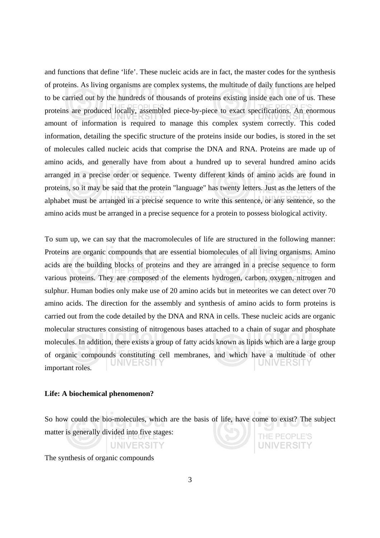and functions that define 'life'. These nucleic acids are in fact, the master codes for the synthesis of proteins. As living organisms are complex systems, the multitude of daily functions are helped to be carried out by the hundreds of thousands of proteins existing inside each one of us. These proteins are produced locally, assembled piece-by-piece to exact specifications. An enormous amount of information is required to manage this complex system correctly. This coded information, detailing the specific structure of the proteins inside our bodies, is stored in the set of molecules called nucleic acids that comprise the DNA and RNA. Proteins are made up of amino acids, and generally have from about a hundred up to several hundred amino acids arranged in a precise order or sequence. Twenty different kinds of amino acids are found in proteins, so it may be said that the protein "language" has twenty letters. Just as the letters of the alphabet must be arranged in a precise sequence to write this sentence, or any sentence, so the amino acids must be arranged in a precise sequence for a protein to possess biological activity.

To sum up, we can say that the macromolecules of life are structured in the following manner: Proteins are organic compounds that are essential biomolecules of all living organisms. Amino acids are the building blocks of proteins and they are arranged in a precise sequence to form various proteins. They are composed of the elements hydrogen, carbon, oxygen, nitrogen and sulphur. Human bodies only make use of 20 amino acids but in meteorites we can detect over 70 amino acids. The direction for the assembly and synthesis of amino acids to form proteins is carried out from the code detailed by the DNA and RNA in cells. These nucleic acids are organic molecular structures consisting of nitrogenous bases attached to a chain of sugar and phosphate molecules. In addition, there exists a group of fatty acids known as lipids which are a large group of organic compounds constituting cell membranes, and which have a multitude of other UNIVERSIT important roles*.* 

### **Life: A biochemical phenomenon?**

So how could the bio-molecules, which are the basis of life, have come to exist? The subject matter is generally divided into five stages: THE PEOPLE'S

The synthesis of organic compounds

**UNIVERSITY**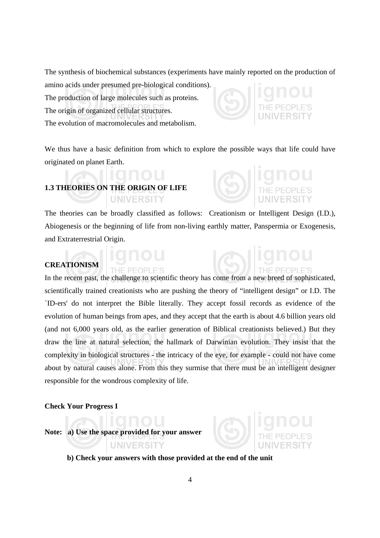The synthesis of biochemical substances (experiments have mainly reported on the production of

amino acids under presumed pre-biological conditions). The production of large molecules such as proteins. The origin of organized cellular structures. The evolution of macromolecules and metabolism.



We thus have a basic definition from which to explore the possible ways that life could have originated on planet Earth.

## **1.3 THEORIES ON THE ORIGIN OF LIFE UNIVERSITY**

**IF PEOPLE'S** 

The theories can be broadly classified as follows: Creationism or Intelligent Design (I.D.), Abiogenesis or the beginning of life from non-living earthly matter, Panspermia or Exogenesis, and Extraterrestrial Origin.

## **CREATIONISM**

In the recent past, the challenge to scientific theory has come from a new breed of sophisticated, scientifically trained creationists who are pushing the theory of "intelligent design" or I.D. The `ID-ers' do not interpret the Bible literally. They accept fossil records as evidence of the evolution of human beings from apes, and they accept that the earth is about 4.6 billion years old (and not 6,000 years old, as the earlier generation of Biblical creationists believed.) But they draw the line at natural selection, the hallmark of Darwinian evolution. They insist that the complexity in biological structures - the intricacy of the eye, for example - could not have come about by natural causes alone. From this they surmise that there must be an intelligent designer responsible for the wondrous complexity of life.

### **Check Your Progress I**

**Note: a) Use the space provided for your answer** 

UNIVERSITY



 **b) Check your answers with those provided at the end of the unit**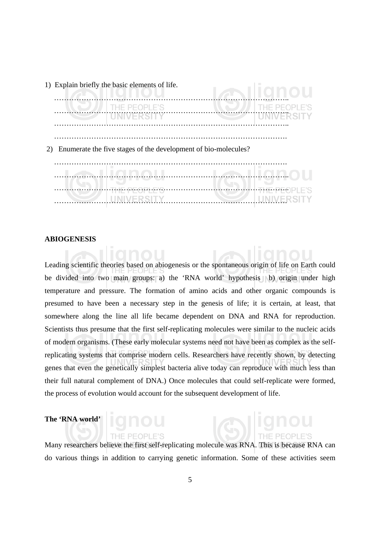

### **ABIOGENESIS**

Leading scientific theories based on abiogenesis or the spontaneous origin of life on Earth could be divided into two main groups: a) the 'RNA world' hypothesis b) origin under high temperature and pressure. The formation of amino acids and other organic compounds is presumed to have been a necessary step in the genesis of life; it is certain, at least, that somewhere along the line all life became dependent on DNA and RNA for reproduction. Scientists thus presume that the first self-replicating molecules were similar to the nucleic acids of modern organisms. (These early molecular systems need not have been as complex as the selfreplicating systems that comprise modern cells. Researchers have recently shown, by detecting genes that even the genetically simplest bacteria alive today can reproduce with much less than their full natural complement of DNA.) Once molecules that could self-replicate were formed, the process of evolution would account for the subsequent development of life.

## **The 'RNA world'**

Many researchers believe the first self-replicating molecule was RNA. This is because RNA can do various things in addition to carrying genetic information. Some of these activities seem

THE PEOPLE'S

<u>ଜ୍ଞାା</u>ଗାର୍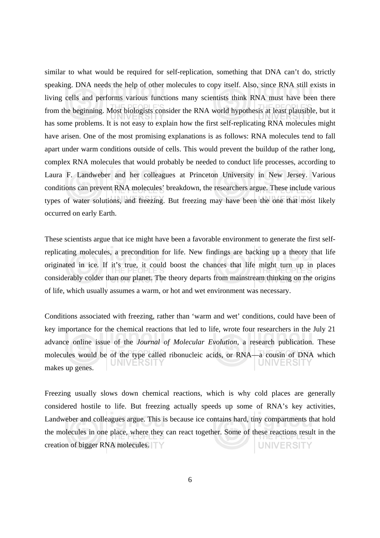similar to what would be required for self-replication, something that DNA can't do, strictly speaking. DNA needs the help of other molecules to copy itself. Also, since RNA still exists in living cells and performs various functions many scientists think RNA must have been there from the beginning. Most biologists consider the RNA world hypothesis at least plausible, but it has some problems. It is not easy to explain how the first self-replicating RNA molecules might have arisen. One of the most promising explanations is as follows: RNA molecules tend to fall apart under warm conditions outside of cells. This would prevent the buildup of the rather long, complex RNA molecules that would probably be needed to conduct life processes, according to Laura F. Landweber and her colleagues at Princeton University in New Jersey. Various conditions can prevent RNA molecules' breakdown, the researchers argue. These include various types of water solutions, and freezing. But freezing may have been the one that most likely occurred on early Earth.

These scientists argue that ice might have been a favorable environment to generate the first selfreplicating molecules, a precondition for life. New findings are backing up a theory that life originated in ice. If it's true, it could boost the chances that life might turn up in places considerably colder than our planet. The theory departs from mainstream thinking on the origins of life, which usually assumes a warm, or hot and wet environment was necessary.

Conditions associated with freezing, rather than 'warm and wet' conditions, could have been of key importance for the chemical reactions that led to life, wrote four researchers in the July 21 advance online issue of the *Journal of Molecular Evolution*, a research publication. These molecules would be of the type called ribonucleic acids, or RNA—a cousin of DNA which UNIVERSITY makes up genes.

Freezing usually slows down chemical reactions, which is why cold places are generally considered hostile to life. But freezing actually speeds up some of RNA's key activities, Landweber and colleagues argue. This is because ice contains hard, tiny compartments that hold the molecules in one place, where they can react together. Some of these reactions result in the creation of bigger RNA molecules. **UNIVERSITY**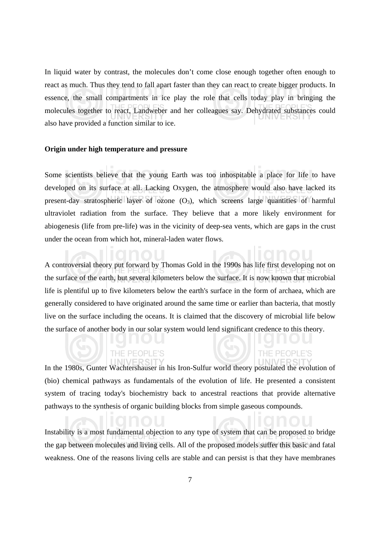In liquid water by contrast, the molecules don't come close enough together often enough to react as much. Thus they tend to fall apart faster than they can react to create bigger products. In essence, the small compartments in ice play the role that cells today play in bringing the molecules together to react, Landweber and her colleagues say. Dehydrated substances could also have provided a function similar to ice.

### **Origin under high temperature and pressure**

Some scientists believe that the young Earth was too inhospitable a place for life to have developed on its surface at all. Lacking Oxygen, the atmosphere would also have lacked its present-day stratospheric layer of ozone  $(O_3)$ , which screens large quantities of harmful ultraviolet radiation from the surface. They believe that a more likely environment for abiogenesis (life from pre-life) was in the vicinity of deep-sea vents, which are gaps in the crust under the ocean from which hot, mineral-laden water flows.

A controversial theory put forward by Thomas Gold in the 1990s has life first developing not on the surface of the earth, but several kilometers below the surface. It is now known that microbial life is plentiful up to five kilometers below the earth's surface in the form of archaea, which are generally considered to have originated around the same time or earlier than bacteria, that mostly live on the surface including the oceans. It is claimed that the discovery of microbial life below the surface of another body in our solar system would lend significant credence to this theory.

In the 1980s, Gunter Wachtershauser in his Iron-Sulfur world theory postulated the evolution of (bio) chemical pathways as fundamentals of the evolution of life. He presented a consistent system of tracing today's biochemistry back to ancestral reactions that provide alternative pathways to the synthesis of organic building blocks from simple gaseous compounds.

Instability is a most fundamental objection to any type of system that can be proposed to bridge the gap between molecules and living cells. All of the proposed models suffer this basic and fatal weakness. One of the reasons living cells are stable and can persist is that they have membranes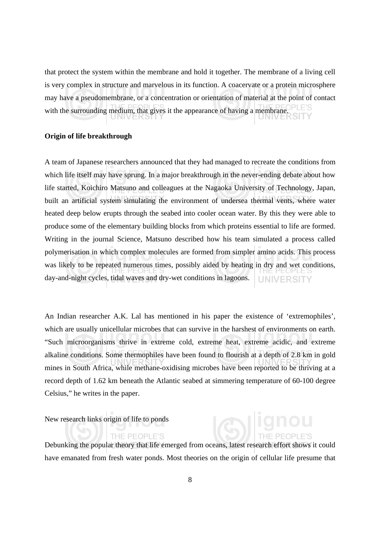that protect the system within the membrane and hold it together. The membrane of a living cell is very complex in structure and marvelous in its function. A coacervate or a protein microsphere may have a pseudomembrane, or a concentration or orientation of material at the point of contact with the surrounding medium, that gives it the appearance of having a membrane.

### **Origin of life breakthrough**

A team of Japanese researchers announced that they had managed to recreate the conditions from which life itself may have sprung. In a major breakthrough in the never-ending debate about how life started, Koichiro Matsuno and colleagues at the Nagaoka University of Technology, Japan, built an artificial system simulating the environment of undersea thermal vents, where water heated deep below erupts through the seabed into cooler ocean water. By this they were able to produce some of the elementary building blocks from which proteins essential to life are formed. Writing in the journal Science, Matsuno described how his team simulated a process called polymerisation in which complex molecules are formed from simpler amino acids. This process was likely to be repeated numerous times, possibly aided by heating in dry and wet conditions, day-and-night cycles, tidal waves and dry-wet conditions in lagoons. **UNIVERSITY** 

An Indian researcher A.K. Lal has mentioned in his paper the existence of 'extremophiles', which are usually unicellular microbes that can survive in the harshest of environments on earth. "Such microorganisms thrive in extreme cold, extreme heat, extreme acidic, and extreme alkaline conditions. Some thermophiles have been found to flourish at a depth of 2.8 km in gold mines in South Africa, while methane-oxidising microbes have been reported to be thriving at a record depth of 1.62 km beneath the Atlantic seabed at simmering temperature of 60-100 degree Celsius," he writes in the paper.

New research links origin of life to ponds

### THE PEOPLE'S

Debunking the popular theory that life emerged from oceans, latest research effort shows it could have emanated from fresh water ponds. Most theories on the origin of cellular life presume that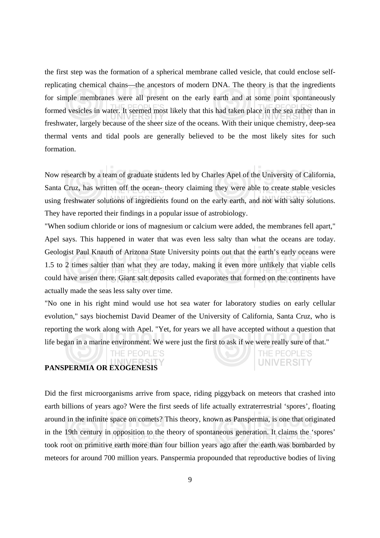the first step was the formation of a spherical membrane called vesicle, that could enclose selfreplicating chemical chains—the ancestors of modern DNA. The theory is that the ingredients for simple membranes were all present on the early earth and at some point spontaneously formed vesicles in water. It seemed most likely that this had taken place in the sea rather than in freshwater, largely because of the sheer size of the oceans. With their unique chemistry, deep-sea thermal vents and tidal pools are generally believed to be the most likely sites for such formation.

Now research by a team of graduate students led by Charles Apel of the University of California, Santa Cruz, has written off the ocean- theory claiming they were able to create stable vesicles using freshwater solutions of ingredients found on the early earth, and not with salty solutions. They have reported their findings in a popular issue of astrobiology.

"When sodium chloride or ions of magnesium or calcium were added, the membranes fell apart," Apel says. This happened in water that was even less salty than what the oceans are today. Geologist Paul Knauth of Arizona State University points out that the earth's early oceans were 1.5 to 2 times saltier than what they are today, making it even more unlikely that viable cells could have arisen there. Giant salt deposits called evaporates that formed on the continents have actually made the seas less salty over time.

"No one in his right mind would use hot sea water for laboratory studies on early cellular evolution," says biochemist David Deamer of the University of California, Santa Cruz, who is reporting the work along with Apel. "Yet, for years we all have accepted without a question that life began in a marine environment. We were just the first to ask if we were really sure of that."

> THE PEOPLE'S **UNIVERSITY**

## **PANSPERMIA OR EXOGENESIS**

THE PEOPLE'S

Did the first microorganisms arrive from space, riding piggyback on meteors that crashed into earth billions of years ago? Were the first seeds of life actually extraterrestrial 'spores', floating around in the infinite space on comets? This theory, known as Panspermia, is one that originated in the 19th century in opposition to the theory of spontaneous generation. It claims the 'spores' took root on primitive earth more than four billion years ago after the earth was bombarded by meteors for around 700 million years. Panspermia propounded that reproductive bodies of living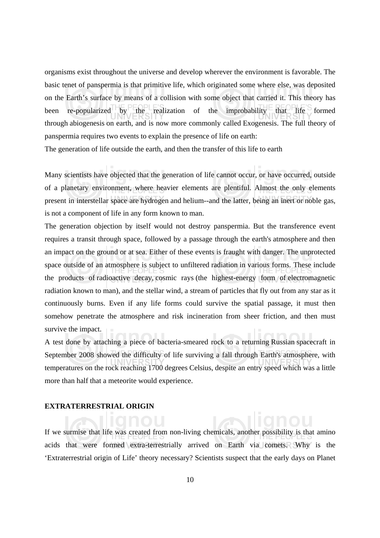organisms exist throughout the universe and develop wherever the environment is favorable. The basic tenet of panspermia is that primitive life, which originated some where else, was deposited on the Earth's surface by means of a collision with some object that carried it. This theory has been re-popularized by the realization of the improbability that life formed through abiogenesis on earth, and is now more commonly called Exogenesis. The full theory of panspermia requires two events to explain the presence of life on earth:

The generation of life outside the earth, and then the transfer of this life to earth

Many scientists have objected that the generation of life cannot occur, or have occurred, outside of a planetary environment, where heavier elements are plentiful. Almost the only elements present in interstellar space are hydrogen and helium--and the latter, being an inert or noble gas, is not a component of life in any form known to man.

The generation objection by itself would not destroy panspermia. But the transference event requires a transit through space, followed by a passage through the earth's atmosphere and then an impact on the ground or at sea. Either of these events is fraught with danger. The unprotected space outside of an atmosphere is subject to unfiltered radiation in various forms. These include the products of radioactive decay, cosmic rays (the highest-energy form of electromagnetic radiation known to man), and the stellar wind, a stream of particles that fly out from any star as it continuously burns. Even if any life forms could survive the spatial passage, it must then somehow penetrate the atmosphere and risk incineration from sheer friction, and then must survive the impact.

A test done by attaching a piece of bacteria-smeared rock to a returning Russian spacecraft in September 2008 showed the difficulty of life surviving a fall through Earth's atmosphere, with temperatures on the rock reaching 1700 degrees Celsius, despite an entry speed which was a little more than half that a meteorite would experience.

### **EXTRATERRESTRIAL ORIGIN**

If we surmise that life was created from non-living chemicals, another possibility is that amino acids that were formed extra-terrestrially arrived on Earth via comets. Why is the 'Extraterrestrial origin of Life' theory necessary? Scientists suspect that the early days on Planet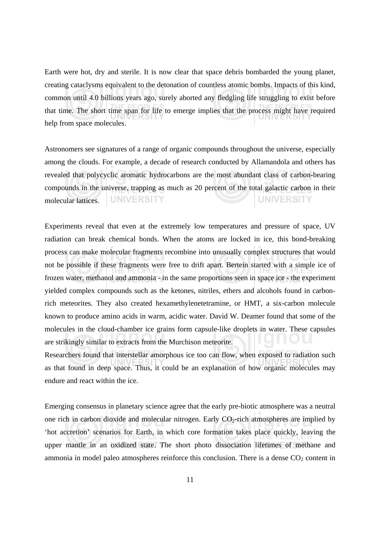Earth were hot, dry and sterile. It is now clear that space debris bombarded the young planet, creating cataclysms equivalent to the detonation of countless atomic bombs. Impacts of this kind, common until 4.0 billions years ago, surely aborted any fledgling life struggling to exist before that time. The short time span for life to emerge implies that the process might have required help from space molecules.

Astronomers see signatures of a range of organic compounds throughout the universe, especially among the clouds. For example, a decade of research conducted by Allamandola and others has revealed that polycyclic aromatic hydrocarbons are the most abundant class of carbon-bearing compounds in the universe, trapping as much as 20 percent of the total galactic carbon in their **UNIVERSITY UNIVERSITY** molecular lattices.

Experiments reveal that even at the extremely low temperatures and pressure of space, UV radiation can break chemical bonds. When the atoms are locked in ice, this bond-breaking process can make molecular fragments recombine into unusually complex structures that would not be possible if these fragments were free to drift apart. Bertein started with a simple ice of frozen water, methanol and ammonia - in the same proportions seen in space ice - the experiment yielded complex compounds such as the ketones, nitriles, ethers and alcohols found in carbonrich meteorites. They also created hexamethylenetetramine, or HMT, a six-carbon molecule known to produce amino acids in warm, acidic water. David W. Deamer found that some of the molecules in the cloud-chamber ice grains form capsule-like droplets in water. These capsules are strikingly similar to extracts from the Murchison meteorite.

Researchers found that interstellar amorphous ice too can flow, when exposed to radiation such as that found in deep space. Thus, it could be an explanation of how organic molecules may endure and react within the ice.

Emerging consensus in planetary science agree that the early pre-biotic atmosphere was a neutral one rich in carbon dioxide and molecular nitrogen. Early  $CO<sub>2</sub>$ -rich atmospheres are implied by 'hot accretion' scenarios for Earth, in which core formation takes place quickly, leaving the upper mantle in an oxidized state. The short photo dissociation lifetimes of methane and ammonia in model paleo atmospheres reinforce this conclusion. There is a dense  $CO<sub>2</sub>$  content in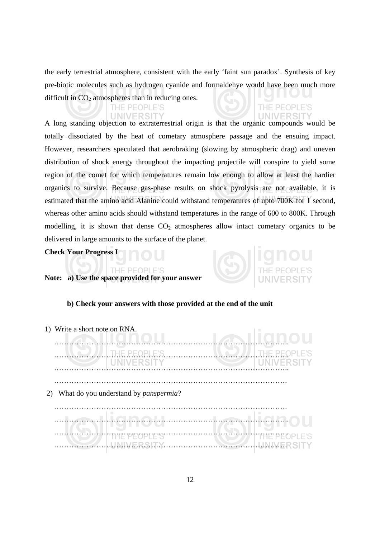the early terrestrial atmosphere, consistent with the early 'faint sun paradox'. Synthesis of key pre-biotic molecules such as hydrogen cyanide and formaldehye would have been much more difficult in  $CO<sub>2</sub>$  atmospheres than in reducing ones.

THE PEOPL

UNIVE

### THE PEOPLE'S **UNIVERSITY**

A long standing objection to extraterrestrial origin is that the organic compounds would be totally dissociated by the heat of cometary atmosphere passage and the ensuing impact. However, researchers speculated that aerobraking (slowing by atmospheric drag) and uneven distribution of shock energy throughout the impacting projectile will conspire to yield some region of the comet for which temperatures remain low enough to allow at least the hardier organics to survive. Because gas-phase results on shock pyrolysis are not available, it is estimated that the amino acid Alanine could withstand temperatures of upto 700K for 1 second, whereas other amino acids should withstand temperatures in the range of 600 to 800K. Through modelling, it is shown that dense  $CO<sub>2</sub>$  atmospheres allow intact cometary organics to be delivered in large amounts to the surface of the planet.

**Check Your Progress I** 

## **Note: a) Use the space provided for your answer**

THE PEOPLE'S

### **b) Check your answers with those provided at the end of the unit**

| 1) Write a short note on RNA. |                                                  |                   |
|-------------------------------|--------------------------------------------------|-------------------|
|                               | THE PEOPLE'S                                     |                   |
|                               | <b>UNIVERSITY</b>                                | <b>UNIVERSITY</b> |
|                               |                                                  |                   |
|                               |                                                  |                   |
|                               | 2) What do you understand by <i>panspermia</i> ? |                   |
|                               |                                                  |                   |
|                               |                                                  |                   |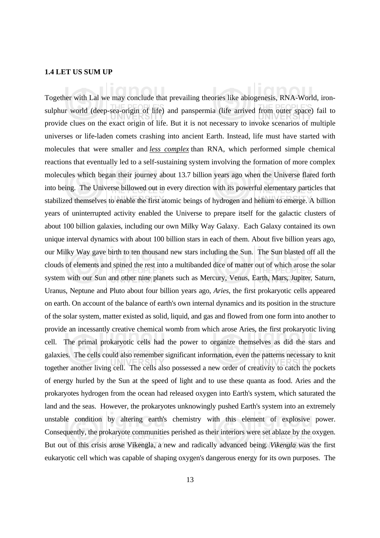### **1.4 LET US SUM UP**

Together with Lal we may conclude that prevailing theories like abiogenesis, RNA-World, ironsulphur world (deep-sea-origin of life) and panspermia (life arrived from outer space) fail to provide clues on the exact origin of life. But it is not necessary to invoke scenarios of multiple universes or life-laden comets crashing into ancient Earth. Instead, life must have started with molecules that were smaller and *less complex* than RNA, which performed simple chemical reactions that eventually led to a self-sustaining system involving the formation of more complex molecules which began their journey about 13.7 billion years ago when the Universe flared forth into being. The Universe billowed out in every direction with its powerful elementary particles that stabilized themselves to enable the first atomic beings of hydrogen and helium to emerge. A billion years of uninterrupted activity enabled the Universe to prepare itself for the galactic clusters of about 100 billion galaxies, including our own Milky Way Galaxy. Each Galaxy contained its own unique interval dynamics with about 100 billion stars in each of them. About five billion years ago, our Milky Way gave birth to ten thousand new stars including the Sun. The Sun blasted off all the clouds of elements and spined the rest into a multibanded dice of matter out of which arose the solar system with our Sun and other nine planets such as Mercury, Venus, Earth, Mars, Jupiter, Saturn, Uranus, Neptune and Pluto about four billion years ago, *Aries*, the first prokaryotic cells appeared on earth. On account of the balance of earth's own internal dynamics and its position in the structure of the solar system, matter existed as solid, liquid, and gas and flowed from one form into another to provide an incessantly creative chemical womb from which arose Aries, the first prokaryotic living cell. The primal prokaryotic cells had the power to organize themselves as did the stars and galaxies. The cells could also remember significant information, even the patterns necessary to knit together another living cell. The cells also possessed a new order of creativity to catch the pockets of energy hurled by the Sun at the speed of light and to use these quanta as food. Aries and the prokaryotes hydrogen from the ocean had released oxygen into Earth's system, which saturated the land and the seas. However, the prokaryotes unknowingly pushed Earth's system into an extremely unstable condition by altering earth's chemistry with this element of explosive power. Consequently, the prokaryote communities perished as their interiors were set ablaze by the oxygen. But out of this crisis arose Vikengla, a new and radically advanced being. *Vikengla* was the first eukaryotic cell which was capable of shaping oxygen's dangerous energy for its own purposes. The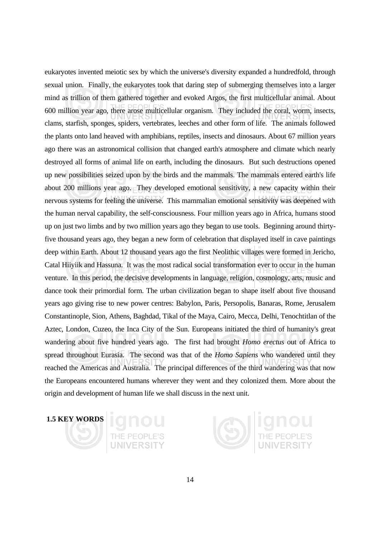eukaryotes invented meiotic sex by which the universe's diversity expanded a hundredfold, through sexual union. Finally, the eukaryotes took that daring step of submerging themselves into a larger mind as trillion of them gathered together and evoked Argos, the first multicellular animal. About 600 million year ago, there arose multicellular organism. They included the coral, worm, insects, clams, starfish, sponges, spiders, vertebrates, leeches and other form of life. The animals followed the plants onto land heaved with amphibians, reptiles, insects and dinosaurs. About 67 million years ago there was an astronomical collision that changed earth's atmosphere and climate which nearly destroyed all forms of animal life on earth, including the dinosaurs. But such destructions opened up new possibilities seized upon by the birds and the mammals. The mammals entered earth's life about 200 millions year ago. They developed emotional sensitivity, a new capacity within their nervous systems for feeling the universe. This mammalian emotional sensitivity was deepened with the human nerval capability, the self-consciousness. Four million years ago in Africa, humans stood up on just two limbs and by two million years ago they began to use tools. Beginning around thirtyfive thousand years ago, they began a new form of celebration that displayed itself in cave paintings deep within Earth. About 12 thousand years ago the first Neolithic villages were formed in Jericho, Catal Hiiyiik and Hassuna. It was the most radical social transformation ever to occur in the human venture. In this period, the decisive developments in language, religion, cosmology, arts, music and dance took their primordial form. The urban civilization began to shape itself about five thousand years ago giving rise to new power centres: Babylon, Paris, Persopolis, Banaras, Rome, Jerusalem Constantinople, Sion, Athens, Baghdad, Tikal of the Maya, Cairo, Mecca, Delhi, Tenochtitlan of the Aztec, London, Cuzeo, the Inca City of the Sun. Europeans initiated the third of humanity's great wandering about five hundred years ago. The first had brought *Homo erectus* out of Africa to spread throughout Eurasia. The second was that of the *Homo Sapiens* who wandered until they reached the Americas and Australia. The principal differences of the third wandering was that now the Europeans encountered humans wherever they went and they colonized them. More about the origin and development of human life we shall discuss in the next unit.

## **1.5 KEY WORDS**



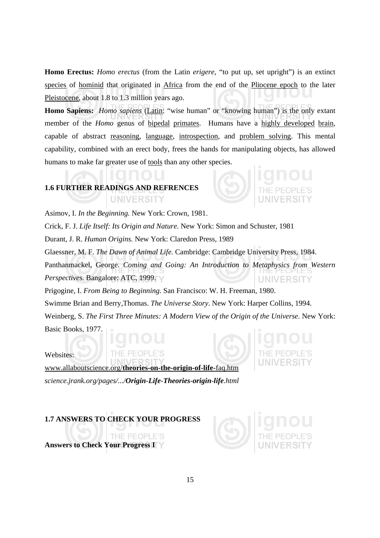**Homo Erectus:** *Homo erectus* (from the Latin *erigere*, "to put up, set upright") is an extinct species of hominid that originated in Africa from the end of the Pliocene epoch to the later Pleistocene, about 1.8 to 1.3 million years ago.

**Homo Sapiens:** *Homo sapiens* (Latin: "wise human" or "knowing human") is the only extant member of the *Homo* genus of bipedal primates. Humans have a highly developed brain, capable of abstract reasoning, language, introspection, and problem solving. This mental capability, combined with an erect body, frees the hands for manipulating objects, has allowed humans to make far greater use of tools than any other species.

## **1.6 FURTHER READINGS AND REFRENCES UNIVERSITY**

Asimov, I. *In the Beginning.* New York: Crown, 1981.

Crick, F. J. *Life Itself: Its Origin and Nature.* New York: Simon and Schuster, 1981

Durant, J. R. *Human Origins.* New York: Claredon Press, 1989

Glaessner, M. F. *The Dawn of Animal Life.* Cambridge: Cambridge University Press, 1984.

Panthanmackel, George. *Coming and Going: An Introduction to Metaphysics from Western Perspectives.* Bangalore: ATC, 1999. **UNIVERSITY** 

Prigogine, I. *From Being to Beginning.* San Francisco: W. H. Freeman, 1980.

Swimme Brian and Berry,Thomas. *The Universe Story*. New York: Harper Collins, 1994.

Weinberg, S. *The First Three Minutes: A Modern View of the Origin of the Universe.* New York: Basic Books, 1977.

Websites:

www.allaboutscience.org/**theories-on-the-origin-of-life**-faq.htm *science.jrank.org/pages/.../Origin-Life-Theories-origin-life.html*

THE PEOPLE'S

**1.7 ANSWERS TO CHECK YOUR PROGRESS** 

**Answers to Check Your Progress I** 

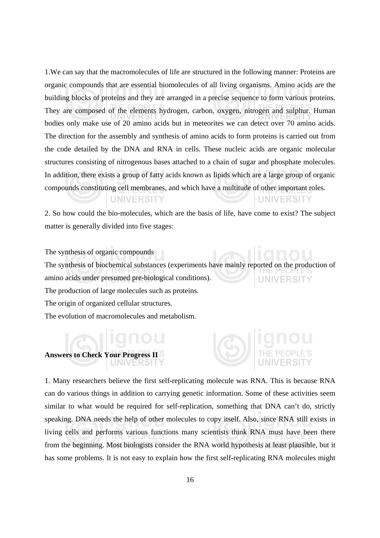1.We can say that the macromolecules of life are structured in the following manner: Proteins are organic compounds that are essential biomolecules of all living organisms. Amino acids are the building blocks of proteins and they are arranged in a precise sequence to form various proteins. They are composed of the elements hydrogen, carbon, oxygen, nitrogen and sulphur. Human bodies only make use of 20 amino acids but in meteorites we can detect over 70 amino acids. The direction for the assembly and synthesis of amino acids to form proteins is carried out from the code detailed by the DNA and RNA in cells. These nucleic acids are organic molecular structures consisting of nitrogenous bases attached to a chain of sugar and phosphate molecules. In addition, there exists a group of fatty acids known as lipids which are a large group of organic compounds constituting cell membranes, and which have a multitude of other important roles*.* 

2. So how could the bio-molecules, which are the basis of life, have come to exist? The subject matter is generally divided into five stages:

**UNIVERSITY** 

**UNIVERSITY** 

The synthesis of organic compounds The synthesis of biochemical substances (experiments have mainly reported on the production of amino acids under presumed pre-biological conditions). **UNIVERSIT** The production of large molecules such as proteins. The origin of organized cellular structures. The evolution of macromolecules and metabolism.

1. Many researchers believe the first self-replicating molecule was RNA. This is because RNA can do various things in addition to carrying genetic information. Some of these activities seem similar to what would be required for self-replication, something that DNA can't do, strictly speaking. DNA needs the help of other molecules to copy itself. Also, since RNA still exists in living cells and performs various functions many scientists think RNA must have been there from the beginning. Most biologists consider the RNA world hypothesis at least plausible, but it has some problems. It is not easy to explain how the first self-replicating RNA molecules might

**Answers to Check Your Progress II**